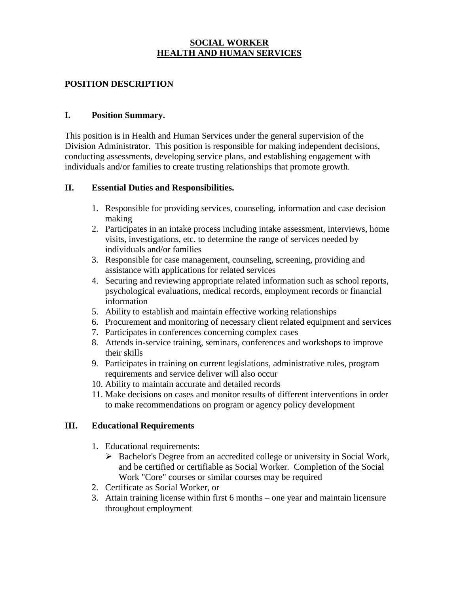# **SOCIAL WORKER HEALTH AND HUMAN SERVICES**

### **POSITION DESCRIPTION**

#### **I. Position Summary.**

This position is in Health and Human Services under the general supervision of the Division Administrator. This position is responsible for making independent decisions, conducting assessments, developing service plans, and establishing engagement with individuals and/or families to create trusting relationships that promote growth.

#### **II. Essential Duties and Responsibilities.**

- 1. Responsible for providing services, counseling, information and case decision making
- 2. Participates in an intake process including intake assessment, interviews, home visits, investigations, etc. to determine the range of services needed by individuals and/or families
- 3. Responsible for case management, counseling, screening, providing and assistance with applications for related services
- 4. Securing and reviewing appropriate related information such as school reports, psychological evaluations, medical records, employment records or financial information
- 5. Ability to establish and maintain effective working relationships
- 6. Procurement and monitoring of necessary client related equipment and services
- 7. Participates in conferences concerning complex cases
- 8. Attends in-service training, seminars, conferences and workshops to improve their skills
- 9. Participates in training on current legislations, administrative rules, program requirements and service deliver will also occur
- 10. Ability to maintain accurate and detailed records
- 11. Make decisions on cases and monitor results of different interventions in order to make recommendations on program or agency policy development

## **III. Educational Requirements**

- 1. Educational requirements:
	- Bachelor's Degree from an accredited college or university in Social Work, and be certified or certifiable as Social Worker. Completion of the Social Work "Core" courses or similar courses may be required
- 2. Certificate as Social Worker, or
- 3. Attain training license within first 6 months one year and maintain licensure throughout employment